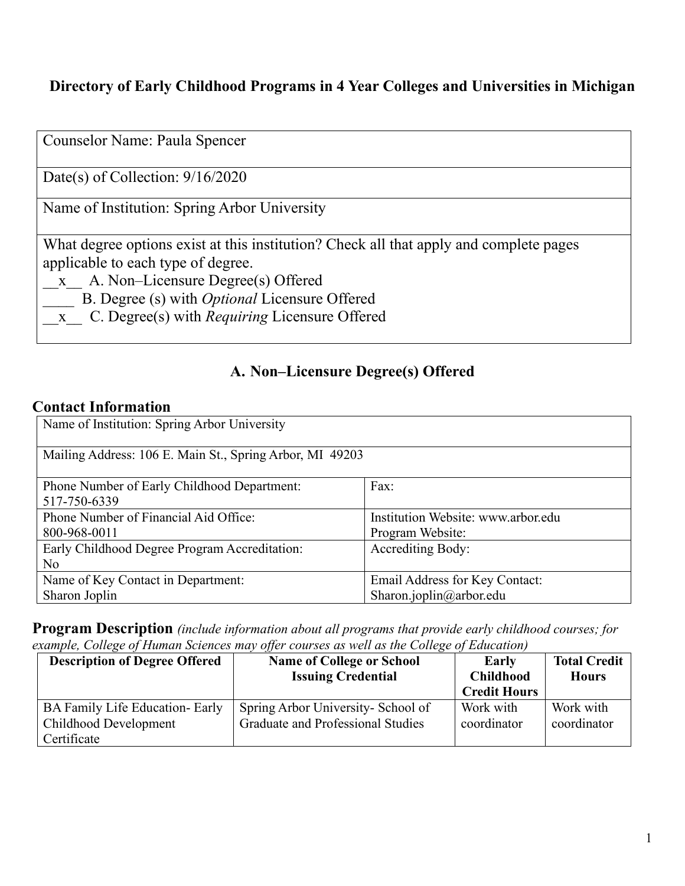### **Directory of Early Childhood Programs in 4 Year Colleges and Universities in Michigan**

| Counselor Name: Paula Spencer                                                                                                                                                                                                                                                                        |
|------------------------------------------------------------------------------------------------------------------------------------------------------------------------------------------------------------------------------------------------------------------------------------------------------|
| Date(s) of Collection: $9/16/2020$                                                                                                                                                                                                                                                                   |
| Name of Institution: Spring Arbor University                                                                                                                                                                                                                                                         |
| What degree options exist at this institution? Check all that apply and complete pages<br>applicable to each type of degree.<br>x A. Non-Licensure Degree(s) Offered<br>B. Degree (s) with <i>Optional</i> Licensure Offered<br>C. Degree(s) with <i>Requiring</i> Licensure Offered<br>$\mathbf{X}$ |

### **A. Non–Licensure Degree(s) Offered**

### **Contact Information**

| Name of Institution: Spring Arbor University             |                                    |  |
|----------------------------------------------------------|------------------------------------|--|
| Mailing Address: 106 E. Main St., Spring Arbor, MI 49203 |                                    |  |
| Phone Number of Early Childhood Department:              | Fax:                               |  |
| 517-750-6339                                             |                                    |  |
| Phone Number of Financial Aid Office:                    | Institution Website: www.arbor.edu |  |
| 800-968-0011                                             | Program Website:                   |  |
| Early Childhood Degree Program Accreditation:            | <b>Accrediting Body:</b>           |  |
| No                                                       |                                    |  |
| Name of Key Contact in Department:                       | Email Address for Key Contact:     |  |
| Sharon Joplin                                            | Sharon.joplin@arbor.edu            |  |

**Program Description** *(include information about all programs that provide early childhood courses; for example, College of Human Sciences may offer courses as well as the College of Education)*

| <b>Description of Degree Offered</b>                                    | <b>Name of College or School</b><br><b>Issuing Credential</b>           | Early<br><b>Childhood</b><br><b>Credit Hours</b> | <b>Total Credit</b><br><b>Hours</b> |
|-------------------------------------------------------------------------|-------------------------------------------------------------------------|--------------------------------------------------|-------------------------------------|
| BA Family Life Education- Early<br>Childhood Development<br>Certificate | Spring Arbor University- School of<br>Graduate and Professional Studies | Work with<br>coordinator                         | Work with<br>coordinator            |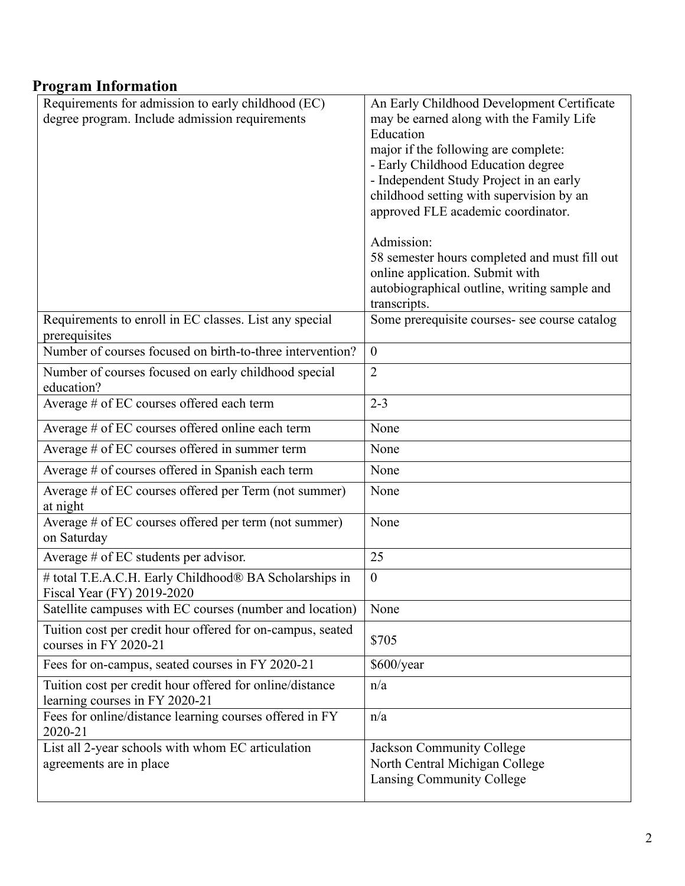### **Program Information**

| Requirements for admission to early childhood (EC)<br>degree program. Include admission requirements | An Early Childhood Development Certificate<br>may be earned along with the Family Life<br>Education<br>major if the following are complete:<br>- Early Childhood Education degree<br>- Independent Study Project in an early<br>childhood setting with supervision by an<br>approved FLE academic coordinator.<br>Admission:<br>58 semester hours completed and must fill out<br>online application. Submit with<br>autobiographical outline, writing sample and |
|------------------------------------------------------------------------------------------------------|------------------------------------------------------------------------------------------------------------------------------------------------------------------------------------------------------------------------------------------------------------------------------------------------------------------------------------------------------------------------------------------------------------------------------------------------------------------|
|                                                                                                      | transcripts.                                                                                                                                                                                                                                                                                                                                                                                                                                                     |
| Requirements to enroll in EC classes. List any special<br>prerequisites                              | Some prerequisite courses- see course catalog                                                                                                                                                                                                                                                                                                                                                                                                                    |
| Number of courses focused on birth-to-three intervention?                                            | $\overline{0}$                                                                                                                                                                                                                                                                                                                                                                                                                                                   |
| Number of courses focused on early childhood special<br>education?                                   | $\overline{2}$                                                                                                                                                                                                                                                                                                                                                                                                                                                   |
| Average # of EC courses offered each term                                                            | $2 - 3$                                                                                                                                                                                                                                                                                                                                                                                                                                                          |
| Average # of EC courses offered online each term                                                     | None                                                                                                                                                                                                                                                                                                                                                                                                                                                             |
| Average # of EC courses offered in summer term                                                       | None                                                                                                                                                                                                                                                                                                                                                                                                                                                             |
| Average # of courses offered in Spanish each term                                                    | None                                                                                                                                                                                                                                                                                                                                                                                                                                                             |
| Average # of EC courses offered per Term (not summer)<br>at night                                    | None                                                                                                                                                                                                                                                                                                                                                                                                                                                             |
| Average # of EC courses offered per term (not summer)<br>on Saturday                                 | None                                                                                                                                                                                                                                                                                                                                                                                                                                                             |
| Average $#$ of EC students per advisor.                                                              | 25                                                                                                                                                                                                                                                                                                                                                                                                                                                               |
| # total T.E.A.C.H. Early Childhood® BA Scholarships in<br>Fiscal Year (FY) 2019-2020                 | $\boldsymbol{0}$                                                                                                                                                                                                                                                                                                                                                                                                                                                 |
| Satellite campuses with EC courses (number and location)                                             | None                                                                                                                                                                                                                                                                                                                                                                                                                                                             |
| Tuition cost per credit hour offered for on-campus, seated<br>courses in FY 2020-21                  | \$705                                                                                                                                                                                                                                                                                                                                                                                                                                                            |
| Fees for on-campus, seated courses in FY 2020-21                                                     | \$600/year                                                                                                                                                                                                                                                                                                                                                                                                                                                       |
| Tuition cost per credit hour offered for online/distance<br>learning courses in FY 2020-21           | n/a                                                                                                                                                                                                                                                                                                                                                                                                                                                              |
| Fees for online/distance learning courses offered in FY<br>2020-21                                   | n/a                                                                                                                                                                                                                                                                                                                                                                                                                                                              |
| List all 2-year schools with whom EC articulation<br>agreements are in place                         | Jackson Community College<br>North Central Michigan College<br>Lansing Community College                                                                                                                                                                                                                                                                                                                                                                         |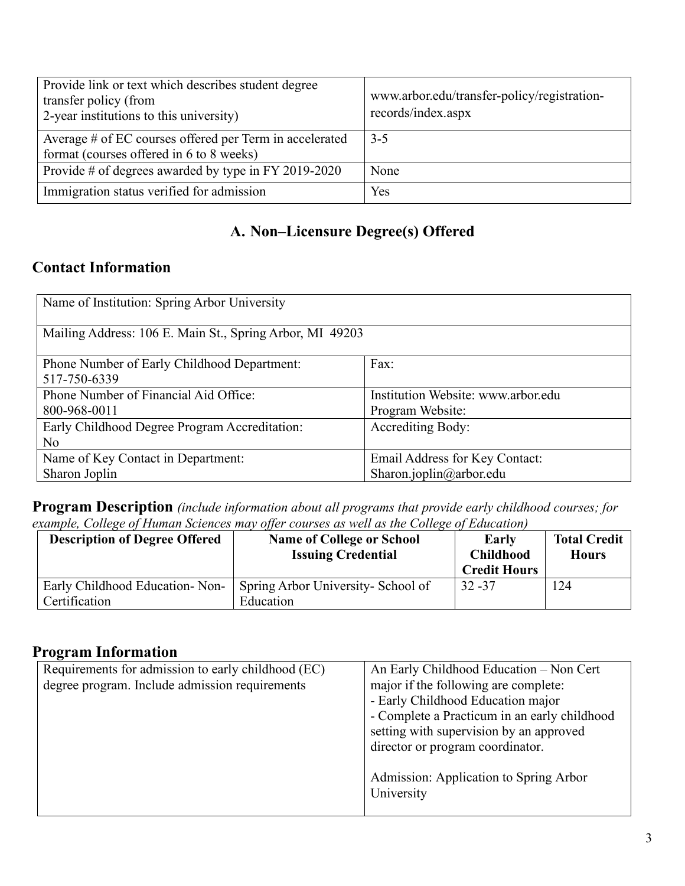| Provide link or text which describes student degree<br>transfer policy (from<br>2-year institutions to this university) | www.arbor.edu/transfer-policy/registration-<br>records/index.aspx |
|-------------------------------------------------------------------------------------------------------------------------|-------------------------------------------------------------------|
| Average # of EC courses offered per Term in accelerated<br>format (courses offered in 6 to 8 weeks)                     | $3 - 5$                                                           |
| Provide # of degrees awarded by type in FY 2019-2020                                                                    | None                                                              |
| Immigration status verified for admission                                                                               | Yes                                                               |

## **A. Non–Licensure Degree(s) Offered**

### **Contact Information**

| Name of Institution: Spring Arbor University             |                                    |  |
|----------------------------------------------------------|------------------------------------|--|
| Mailing Address: 106 E. Main St., Spring Arbor, MI 49203 |                                    |  |
| Phone Number of Early Childhood Department:              | Fax:                               |  |
| 517-750-6339                                             |                                    |  |
| Phone Number of Financial Aid Office:                    | Institution Website: www.arbor.edu |  |
| 800-968-0011                                             | Program Website:                   |  |
| Early Childhood Degree Program Accreditation:            | <b>Accrediting Body:</b>           |  |
| No                                                       |                                    |  |
| Name of Key Contact in Department:                       | Email Address for Key Contact:     |  |
| Sharon Joplin                                            | Sharon.joplin@arbor.edu            |  |

**Program Description** *(include information about all programs that provide early childhood courses; for example, College of Human Sciences may offer courses as well as the College of Education)*

| <b>Description of Degree Offered</b>            | <b>Name of College or School</b><br><b>Issuing Credential</b> | Early<br><b>Childhood</b><br><b>Credit Hours</b> | <b>Total Credit</b><br><b>Hours</b> |
|-------------------------------------------------|---------------------------------------------------------------|--------------------------------------------------|-------------------------------------|
| Early Childhood Education-Non-<br>Certification | Spring Arbor University- School of<br>Education               | $32 - 37$                                        | 124                                 |

#### **Program Information**

| An Early Childhood Education - Non Cert      |
|----------------------------------------------|
| major if the following are complete:         |
| - Early Childhood Education major            |
| - Complete a Practicum in an early childhood |
| setting with supervision by an approved      |
| director or program coordinator.             |
|                                              |
| Admission: Application to Spring Arbor       |
| University                                   |
|                                              |
|                                              |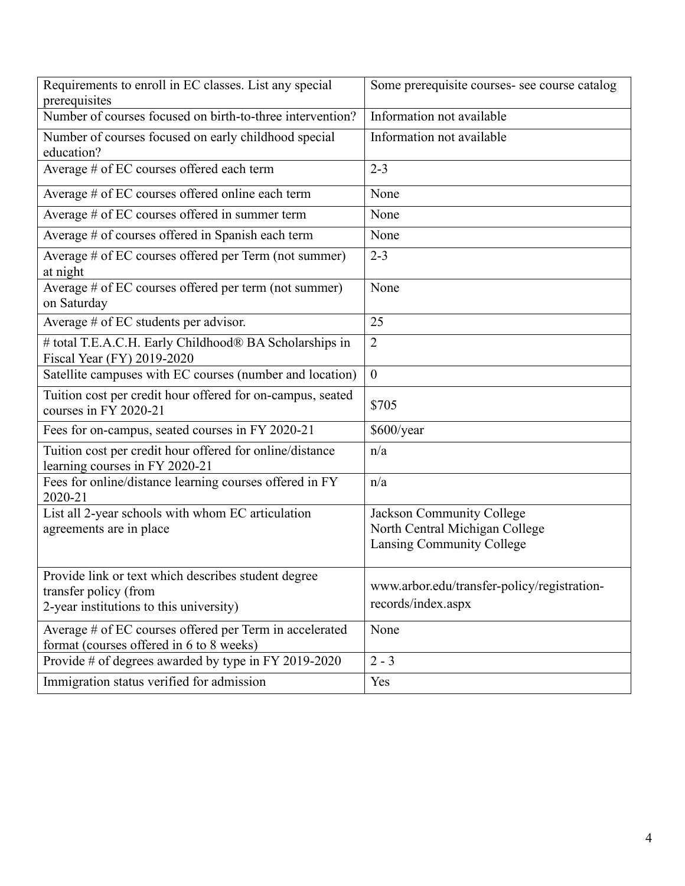| Requirements to enroll in EC classes. List any special<br>prerequisites                                                 | Some prerequisite courses- see course catalog                                            |  |
|-------------------------------------------------------------------------------------------------------------------------|------------------------------------------------------------------------------------------|--|
| Number of courses focused on birth-to-three intervention?                                                               | Information not available                                                                |  |
| Number of courses focused on early childhood special<br>education?                                                      | Information not available                                                                |  |
| Average # of EC courses offered each term                                                                               | $2 - 3$                                                                                  |  |
| Average # of EC courses offered online each term                                                                        | None                                                                                     |  |
| Average # of EC courses offered in summer term                                                                          | None                                                                                     |  |
| Average # of courses offered in Spanish each term                                                                       | None                                                                                     |  |
| Average # of EC courses offered per Term (not summer)<br>at night                                                       | $2 - 3$                                                                                  |  |
| Average # of EC courses offered per term (not summer)<br>on Saturday                                                    | None                                                                                     |  |
| Average $#$ of EC students per advisor.                                                                                 | 25                                                                                       |  |
| # total T.E.A.C.H. Early Childhood® BA Scholarships in<br>Fiscal Year (FY) 2019-2020                                    | $\overline{2}$                                                                           |  |
| Satellite campuses with EC courses (number and location)                                                                | $\overline{0}$                                                                           |  |
| Tuition cost per credit hour offered for on-campus, seated<br>courses in FY 2020-21                                     | \$705                                                                                    |  |
| Fees for on-campus, seated courses in FY 2020-21                                                                        | \$600/year                                                                               |  |
| Tuition cost per credit hour offered for online/distance<br>learning courses in FY 2020-21                              | n/a                                                                                      |  |
| Fees for online/distance learning courses offered in FY<br>2020-21                                                      | n/a                                                                                      |  |
| List all 2-year schools with whom EC articulation<br>agreements are in place                                            | Jackson Community College<br>North Central Michigan College<br>Lansing Community College |  |
| Provide link or text which describes student degree<br>transfer policy (from<br>2-year institutions to this university) | www.arbor.edu/transfer-policy/registration-<br>records/index.aspx                        |  |
| Average # of EC courses offered per Term in accelerated<br>format (courses offered in 6 to 8 weeks)                     | None                                                                                     |  |
| Provide # of degrees awarded by type in FY 2019-2020                                                                    | $2 - 3$                                                                                  |  |
| Immigration status verified for admission                                                                               | Yes                                                                                      |  |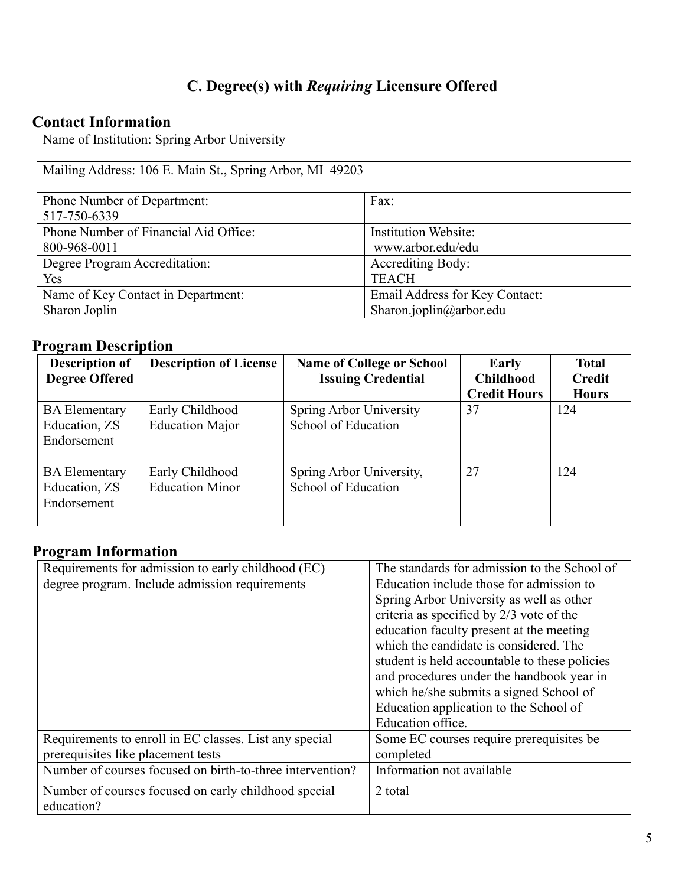# **C. Degree(s) with** *Requiring* **Licensure Offered**

## **Contact Information**

| Name of Institution: Spring Arbor University             |                                |  |  |
|----------------------------------------------------------|--------------------------------|--|--|
| Mailing Address: 106 E. Main St., Spring Arbor, MI 49203 |                                |  |  |
| Phone Number of Department:                              | Fax:                           |  |  |
| 517-750-6339                                             |                                |  |  |
| Phone Number of Financial Aid Office:                    | <b>Institution Website:</b>    |  |  |
| 800-968-0011                                             | www.arbor.edu/edu              |  |  |
| Degree Program Accreditation:                            | <b>Accrediting Body:</b>       |  |  |
| Yes                                                      | <b>TEACH</b>                   |  |  |
| Name of Key Contact in Department:                       | Email Address for Key Contact: |  |  |
| Sharon Joplin                                            | Sharon.joplin@arbor.edu        |  |  |

# **Program Description**

| <b>Description of</b><br><b>Degree Offered</b>       | <b>Description of License</b>             | <b>Name of College or School</b><br><b>Issuing Credential</b> | Early<br><b>Childhood</b> | <b>Total</b><br><b>Credit</b> |
|------------------------------------------------------|-------------------------------------------|---------------------------------------------------------------|---------------------------|-------------------------------|
|                                                      |                                           |                                                               | <b>Credit Hours</b>       | <b>Hours</b>                  |
| <b>BA</b> Elementary<br>Education, ZS<br>Endorsement | Early Childhood<br><b>Education Major</b> | Spring Arbor University<br>School of Education                | 37                        | 124                           |
| <b>BA</b> Elementary<br>Education, ZS<br>Endorsement | Early Childhood<br><b>Education Minor</b> | Spring Arbor University,<br>School of Education               | 27                        | 124                           |

## **Program Information**

| Requirements for admission to early childhood (EC)        | The standards for admission to the School of  |
|-----------------------------------------------------------|-----------------------------------------------|
| degree program. Include admission requirements            | Education include those for admission to      |
|                                                           | Spring Arbor University as well as other      |
|                                                           | criteria as specified by 2/3 vote of the      |
|                                                           | education faculty present at the meeting      |
|                                                           | which the candidate is considered. The        |
|                                                           | student is held accountable to these policies |
|                                                           | and procedures under the handbook year in     |
|                                                           | which he/she submits a signed School of       |
|                                                           | Education application to the School of        |
|                                                           | Education office.                             |
| Requirements to enroll in EC classes. List any special    | Some EC courses require prerequisites be      |
| prerequisites like placement tests                        | completed                                     |
| Number of courses focused on birth-to-three intervention? | Information not available                     |
| Number of courses focused on early childhood special      | 2 total                                       |
| education?                                                |                                               |